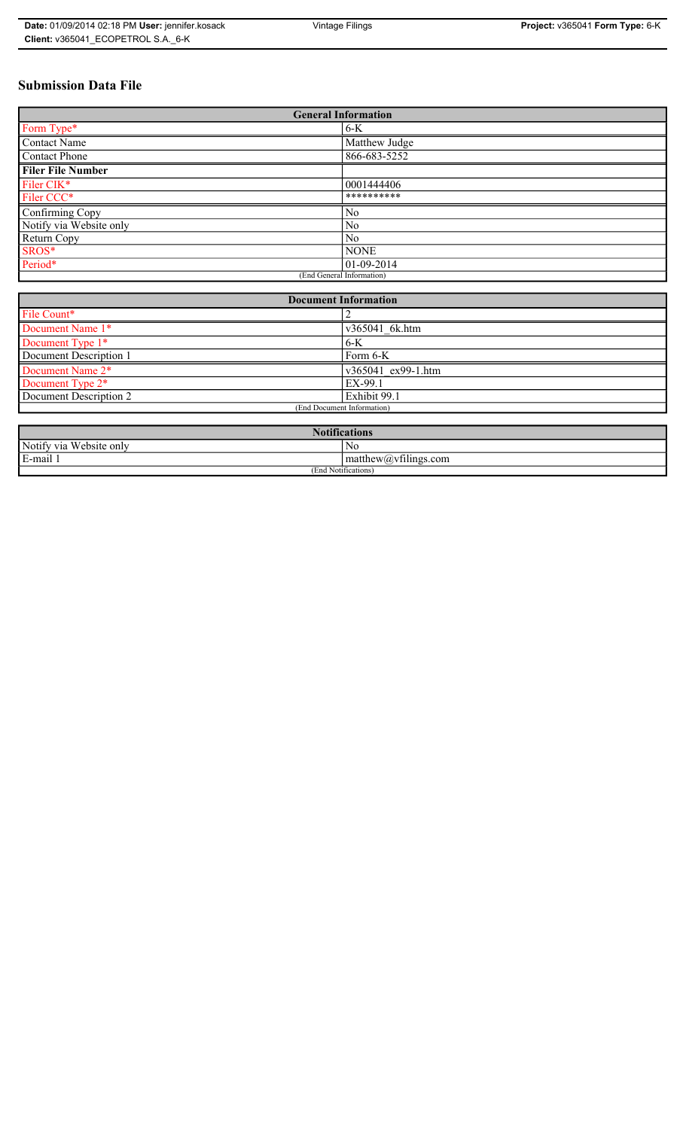# **Submission Data File**

| <b>General Information</b> |                |
|----------------------------|----------------|
| Form Type*                 | $6-K$          |
| <b>Contact Name</b>        | Matthew Judge  |
| <b>Contact Phone</b>       | 866-683-5252   |
| <b>Filer File Number</b>   |                |
| Filer CIK*                 | 0001444406     |
| Filer CCC*                 | **********     |
| Confirming Copy            | N <sub>0</sub> |
| Notify via Website only    | N <sub>0</sub> |
| Return Copy                | N <sub>0</sub> |
| SROS*                      | <b>NONE</b>    |
| Period*                    | $ 01-09-2014 $ |
| (End General Information)  |                |

| <b>Document Information</b> |                    |
|-----------------------------|--------------------|
| File Count*                 |                    |
| Document Name 1*            | v365041 6k.htm     |
| Document Type 1*            | $6-K$              |
| Document Description 1      | Form 6-K           |
| Document Name 2*            | v365041 ex99-1.htm |
| Document Type 2*            | EX-99.1            |
| Document Description 2      | Exhibit 99.1       |
| (End Document Information)  |                    |
|                             |                    |

| <b>Notifications</b>       |                                                  |  |
|----------------------------|--------------------------------------------------|--|
| Notify via<br>Website only | N0                                               |  |
| E-mail 1<br>$\blacksquare$ | $\sim$ 1<br>$ $ matthew( <i>a</i> ) vtilings.com |  |
| (End Notifications)        |                                                  |  |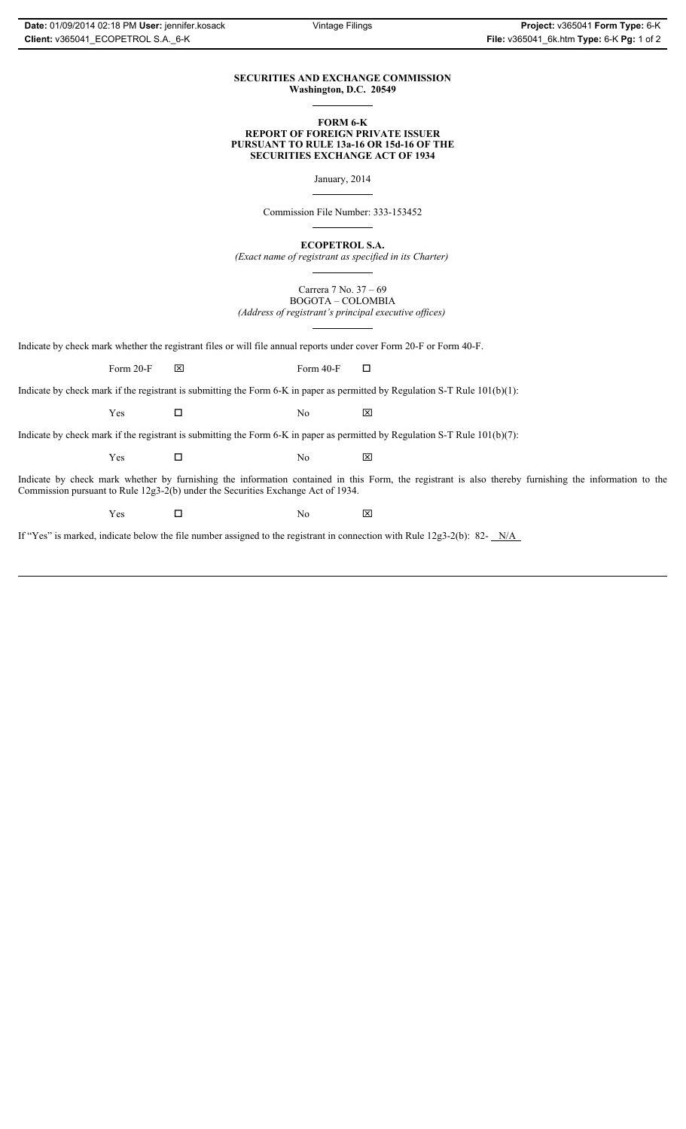# **SECURITIES AND EXCHANGE COMMISSION Washington, D.C. 20549**

## **FORM 6-K REPORT OF FOREIGN PRIVATE ISSUER PURSUANT TO RULE 13a-16 OR 15d-16 OF THE SECURITIES EXCHANGE ACT OF 1934**

January, 2014

Commission File Number: 333-153452

**ECOPETROL S.A.**

*(Exact name of registrant as specified in its Charter)*

Carrera 7 No. 37 – 69 BOGOTA – COLOMBIA *(Address of registrant's principal executive offices)*

Indicate by check mark whether the registrant files or will file annual reports under cover Form 20-F or Form 40-F.

Form 20-F  $\boxtimes$  Form 40-F  $\Box$ 

Indicate by check mark if the registrant is submitting the Form 6-K in paper as permitted by Regulation S-T Rule 101(b)(1):

 $Yes$   $\Box$  No  $X$ 

Indicate by check mark if the registrant is submitting the Form 6-K in paper as permitted by Regulation S-T Rule 101(b)(7):

 $Yes$   $\Box$  No  $X$ 

Indicate by check mark whether by furnishing the information contained in this Form, the registrant is also thereby furnishing the information to the Commission pursuant to Rule 12g3-2(b) under the Securities Exchange Act of 1934.

 $Yes$   $\Box$  No  $X$ 

If "Yes" is marked, indicate below the file number assigned to the registrant in connection with Rule 12g3-2(b): 82- N/A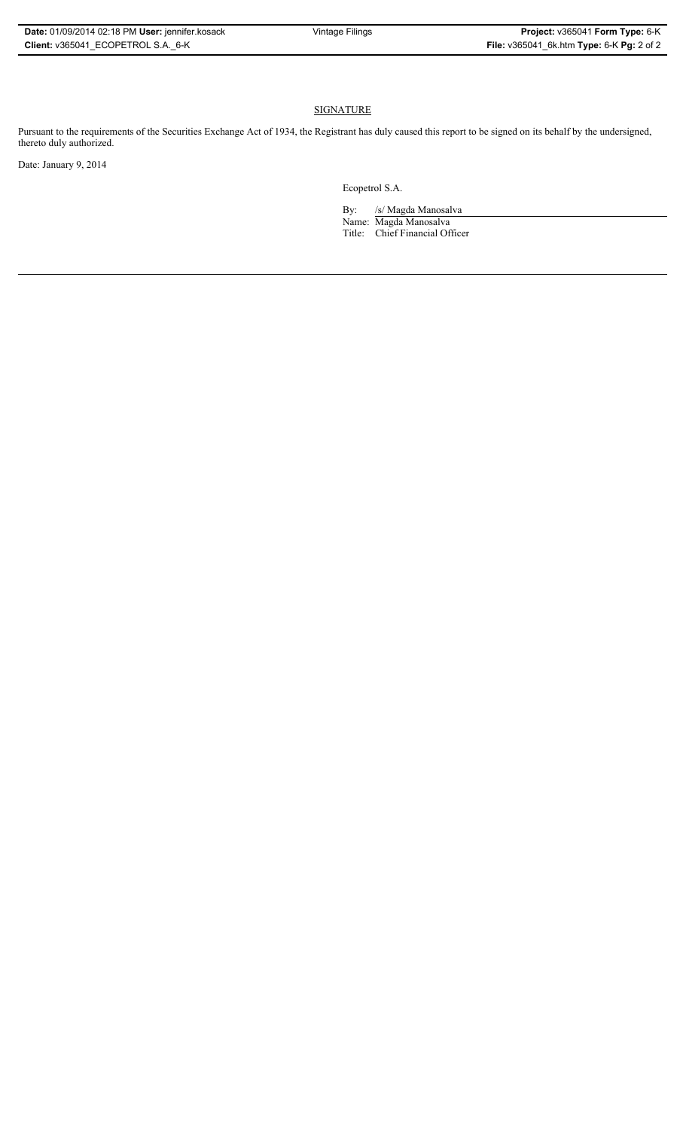# **SIGNATURE**

Pursuant to the requirements of the Securities Exchange Act of 1934, the Registrant has duly caused this report to be signed on its behalf by the undersigned, thereto duly authorized.

Date: January 9, 2014

Ecopetrol S.A.

By: /s/ Magda Manosalva Name: Magda Manosalva Title: Chief Financial Officer